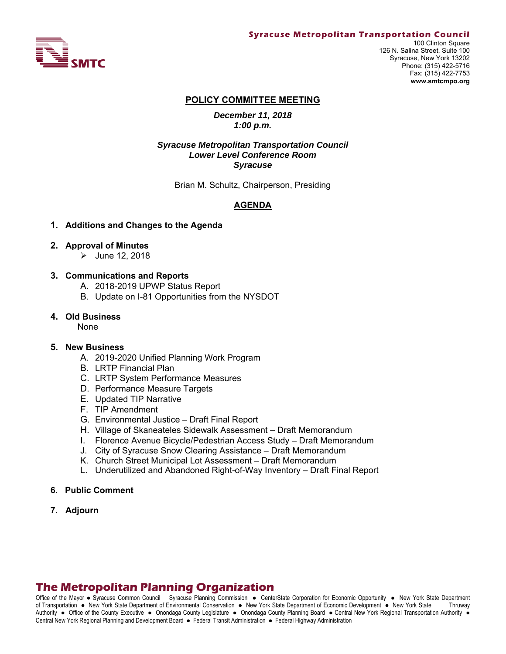

100 Clinton Square 126 N. Salina Street, Suite 100 Syracuse, New York 13202 Phone: (315) 422-5716 Fax: (315) 422-7753 **www.smtcmpo.org**

### **POLICY COMMITTEE MEETING**

*December 11, 2018 1:00 p.m.*

### *Syracuse Metropolitan Transportation Council Lower Level Conference Room Syracuse*

Brian M. Schultz, Chairperson, Presiding

### **AGENDA**

### **1. Additions and Changes to the Agenda**

### **2. Approval of Minutes**

 $\triangleright$  June 12, 2018

### **3. Communications and Reports**

- A. 2018-2019 UPWP Status Report
- B. Update on I-81 Opportunities from the NYSDOT

### **4. Old Business**

None

### **5. New Business**

- A. 2019-2020 Unified Planning Work Program
- B. LRTP Financial Plan
- C. LRTP System Performance Measures
- D. Performance Measure Targets
- E. Updated TIP Narrative
- F. TIP Amendment
- G. Environmental Justice Draft Final Report
- H. Village of Skaneateles Sidewalk Assessment Draft Memorandum
- I. Florence Avenue Bicycle/Pedestrian Access Study Draft Memorandum
- J. City of Syracuse Snow Clearing Assistance Draft Memorandum
- K. Church Street Municipal Lot Assessment Draft Memorandum
- L. Underutilized and Abandoned Right-of-Way Inventory Draft Final Report

### **6. Public Comment**

**7. Adjourn**

# **The Metropolitan Planning Organization**

Office of the Mayor • Syracuse Common Council Syracuse Planning Commission • CenterState Corporation for Economic Opportunity • New York State Department of Transportation New York State Department of Environmental Conservation New York State Department of Economic Development New York State Thruway Authority . Office of the County Executive . Onondaga County Legislature . Onondaga County Planning Board . Central New York Regional Transportation Authority . Central New York Regional Planning and Development Board · Federal Transit Administration · Federal Highway Administration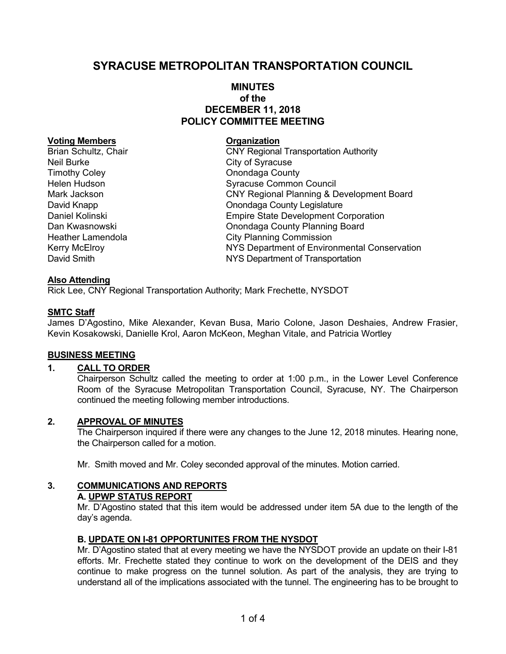# **SYRACUSE METROPOLITAN TRANSPORTATION COUNCIL**

# **MINUTES of the DECEMBER 11, 2018 POLICY COMMITTEE MEETING**

### **Voting Members Construction Construction Construction**

Neil Burke City of Syracuse Timothy Coley **Coley County Coley County County County** 

Brian Schultz, Chair **CNY Regional Transportation Authority** Helen Hudson **Syracuse Common Council** Mark Jackson CNY Regional Planning & Development Board David Knapp **David Knapp County Legislature Onondaga County Legislature** Daniel Kolinski Empire State Development Corporation Dan Kwasnowski Onondaga County Planning Board Heather Lamendola **City Planning Commission** Kerry McElroy **NYS Department of Environmental Conservation** David Smith NYS Department of Transportation

# **Also Attending**

Rick Lee, CNY Regional Transportation Authority; Mark Frechette, NYSDOT

### **SMTC Staff**

James D'Agostino, Mike Alexander, Kevan Busa, Mario Colone, Jason Deshaies, Andrew Frasier, Kevin Kosakowski, Danielle Krol, Aaron McKeon, Meghan Vitale, and Patricia Wortley

### **BUSINESS MEETING**

# **1. CALL TO ORDER**

Chairperson Schultz called the meeting to order at 1:00 p.m., in the Lower Level Conference Room of the Syracuse Metropolitan Transportation Council, Syracuse, NY. The Chairperson continued the meeting following member introductions.

### **2. APPROVAL OF MINUTES**

The Chairperson inquired if there were any changes to the June 12, 2018 minutes. Hearing none, the Chairperson called for a motion.

Mr. Smith moved and Mr. Coley seconded approval of the minutes. Motion carried.

# **3. COMMUNICATIONS AND REPORTS**

# **A. UPWP STATUS REPORT**

Mr. D'Agostino stated that this item would be addressed under item 5A due to the length of the day's agenda.

### **B. UPDATE ON I-81 OPPORTUNITES FROM THE NYSDOT**

Mr. D'Agostino stated that at every meeting we have the NYSDOT provide an update on their I-81 efforts. Mr. Frechette stated they continue to work on the development of the DEIS and they continue to make progress on the tunnel solution. As part of the analysis, they are trying to understand all of the implications associated with the tunnel. The engineering has to be brought to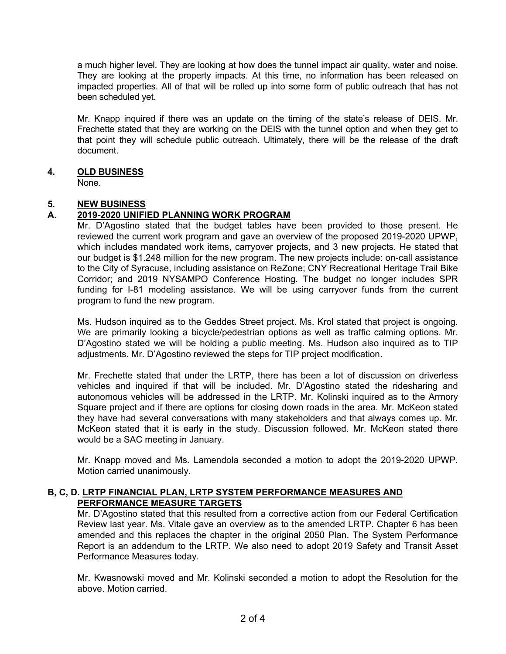a much higher level. They are looking at how does the tunnel impact air quality, water and noise. They are looking at the property impacts. At this time, no information has been released on impacted properties. All of that will be rolled up into some form of public outreach that has not been scheduled yet.

Mr. Knapp inquired if there was an update on the timing of the state's release of DEIS. Mr. Frechette stated that they are working on the DEIS with the tunnel option and when they get to that point they will schedule public outreach. Ultimately, there will be the release of the draft document.

# **4. OLD BUSINESS**

None.

# **5. NEW BUSINESS**

# **A. 2019-2020 UNIFIED PLANNING WORK PROGRAM**

Mr. D'Agostino stated that the budget tables have been provided to those present. He reviewed the current work program and gave an overview of the proposed 2019-2020 UPWP, which includes mandated work items, carryover projects, and 3 new projects. He stated that our budget is \$1.248 million for the new program. The new projects include: on-call assistance to the City of Syracuse, including assistance on ReZone; CNY Recreational Heritage Trail Bike Corridor; and 2019 NYSAMPO Conference Hosting. The budget no longer includes SPR funding for I-81 modeling assistance. We will be using carryover funds from the current program to fund the new program.

Ms. Hudson inquired as to the Geddes Street project. Ms. Krol stated that project is ongoing. We are primarily looking a bicycle/pedestrian options as well as traffic calming options. Mr. D'Agostino stated we will be holding a public meeting. Ms. Hudson also inquired as to TIP adjustments. Mr. D'Agostino reviewed the steps for TIP project modification.

Mr. Frechette stated that under the LRTP, there has been a lot of discussion on driverless vehicles and inquired if that will be included. Mr. D'Agostino stated the ridesharing and autonomous vehicles will be addressed in the LRTP. Mr. Kolinski inquired as to the Armory Square project and if there are options for closing down roads in the area. Mr. McKeon stated they have had several conversations with many stakeholders and that always comes up. Mr. McKeon stated that it is early in the study. Discussion followed. Mr. McKeon stated there would be a SAC meeting in January.

Mr. Knapp moved and Ms. Lamendola seconded a motion to adopt the 2019-2020 UPWP. Motion carried unanimously.

### **B, C, D. LRTP FINANCIAL PLAN, LRTP SYSTEM PERFORMANCE MEASURES AND PERFORMANCE MEASURE TARGETS**

Mr. D'Agostino stated that this resulted from a corrective action from our Federal Certification Review last year. Ms. Vitale gave an overview as to the amended LRTP. Chapter 6 has been amended and this replaces the chapter in the original 2050 Plan. The System Performance Report is an addendum to the LRTP. We also need to adopt 2019 Safety and Transit Asset Performance Measures today.

Mr. Kwasnowski moved and Mr. Kolinski seconded a motion to adopt the Resolution for the above. Motion carried.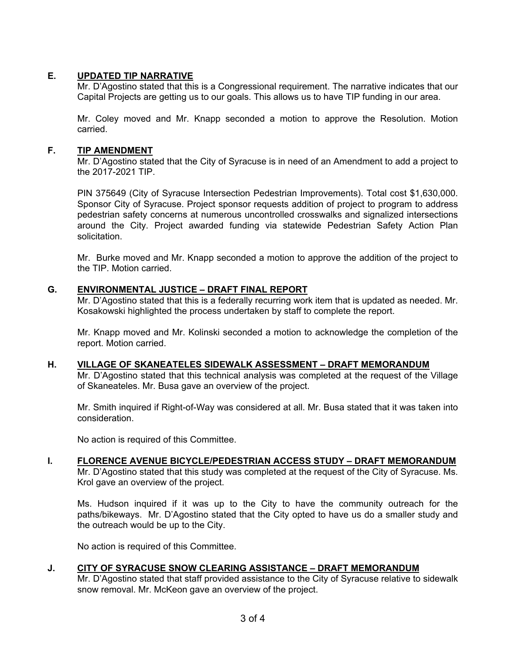# **E. UPDATED TIP NARRATIVE**

Mr. D'Agostino stated that this is a Congressional requirement. The narrative indicates that our Capital Projects are getting us to our goals. This allows us to have TIP funding in our area.

Mr. Coley moved and Mr. Knapp seconded a motion to approve the Resolution. Motion carried.

# **F. TIP AMENDMENT**

Mr. D'Agostino stated that the City of Syracuse is in need of an Amendment to add a project to the 2017-2021 TIP.

PIN 375649 (City of Syracuse Intersection Pedestrian Improvements). Total cost \$1,630,000. Sponsor City of Syracuse. Project sponsor requests addition of project to program to address pedestrian safety concerns at numerous uncontrolled crosswalks and signalized intersections around the City. Project awarded funding via statewide Pedestrian Safety Action Plan solicitation.

Mr. Burke moved and Mr. Knapp seconded a motion to approve the addition of the project to the TIP. Motion carried.

### **G. ENVIRONMENTAL JUSTICE – DRAFT FINAL REPORT**

Mr. D'Agostino stated that this is a federally recurring work item that is updated as needed. Mr. Kosakowski highlighted the process undertaken by staff to complete the report.

 Mr. Knapp moved and Mr. Kolinski seconded a motion to acknowledge the completion of the report. Motion carried.

### **H. VILLAGE OF SKANEATELES SIDEWALK ASSESSMENT – DRAFT MEMORANDUM**

Mr. D'Agostino stated that this technical analysis was completed at the request of the Village of Skaneateles. Mr. Busa gave an overview of the project.

Mr. Smith inquired if Right-of-Way was considered at all. Mr. Busa stated that it was taken into consideration.

No action is required of this Committee.

### **I. FLORENCE AVENUE BICYCLE/PEDESTRIAN ACCESS STUDY – DRAFT MEMORANDUM**

Mr. D'Agostino stated that this study was completed at the request of the City of Syracuse. Ms. Krol gave an overview of the project.

Ms. Hudson inquired if it was up to the City to have the community outreach for the paths/bikeways. Mr. D'Agostino stated that the City opted to have us do a smaller study and the outreach would be up to the City.

No action is required of this Committee.

# **J. CITY OF SYRACUSE SNOW CLEARING ASSISTANCE – DRAFT MEMORANDUM**

Mr. D'Agostino stated that staff provided assistance to the City of Syracuse relative to sidewalk snow removal. Mr. McKeon gave an overview of the project.